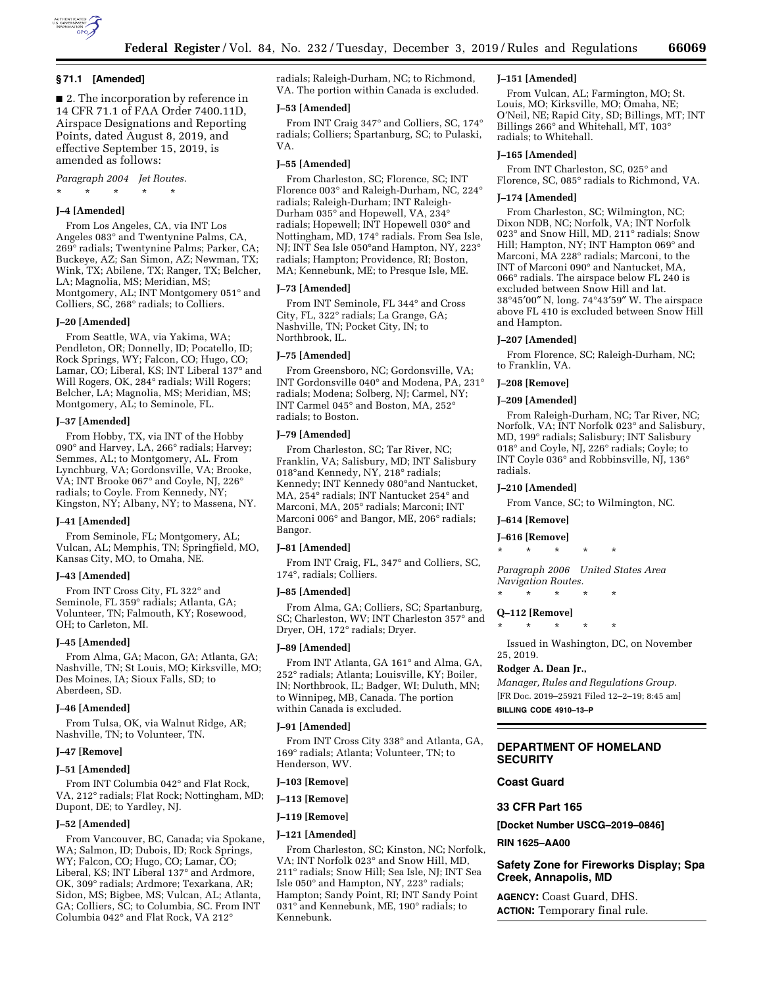

### **§ 71.1 [Amended]**

■ 2. The incorporation by reference in 14 CFR 71.1 of FAA Order 7400.11D, Airspace Designations and Reporting Points, dated August 8, 2019, and effective September 15, 2019, is amended as follows:

*Paragraph 2004 Jet Routes.* 

\* \* \* \* \*

## **J–4 [Amended]**

From Los Angeles, CA, via INT Los Angeles 083° and Twentynine Palms, CA, 269° radials; Twentynine Palms; Parker, CA; Buckeye, AZ; San Simon, AZ; Newman, TX; Wink, TX; Abilene, TX; Ranger, TX; Belcher, LA; Magnolia, MS; Meridian, MS; Montgomery, AL; INT Montgomery 051° and Colliers, SC, 268° radials; to Colliers.

### **J–20 [Amended]**

From Seattle, WA, via Yakima, WA; Pendleton, OR; Donnelly, ID; Pocatello, ID; Rock Springs, WY; Falcon, CO; Hugo, CO; Lamar, CO; Liberal, KS; INT Liberal 137° and Will Rogers, OK, 284° radials; Will Rogers; Belcher, LA; Magnolia, MS; Meridian, MS; Montgomery, AL; to Seminole, FL.

### **J–37 [Amended]**

From Hobby, TX, via INT of the Hobby 090° and Harvey, LA, 266° radials; Harvey; Semmes, AL; to Montgomery, AL. From Lynchburg, VA; Gordonsville, VA; Brooke, VA; INT Brooke 067° and Coyle, NJ, 226° radials; to Coyle. From Kennedy, NY; Kingston, NY; Albany, NY; to Massena, NY.

### **J–41 [Amended]**

From Seminole, FL; Montgomery, AL; Vulcan, AL; Memphis, TN; Springfield, MO, Kansas City, MO, to Omaha, NE.

## **J–43 [Amended]**

From INT Cross City, FL 322° and Seminole, FL 359° radials; Atlanta, GA; Volunteer, TN; Falmouth, KY; Rosewood, OH; to Carleton, MI.

## **J–45 [Amended]**

From Alma, GA; Macon, GA; Atlanta, GA; Nashville, TN; St Louis, MO; Kirksville, MO; Des Moines, IA; Sioux Falls, SD; to Aberdeen, SD.

### **J–46 [Amended]**

From Tulsa, OK, via Walnut Ridge, AR; Nashville, TN; to Volunteer, TN.

### **J–47 [Remove]**

### **J–51 [Amended]**

From INT Columbia 042° and Flat Rock, VA, 212° radials; Flat Rock; Nottingham, MD; Dupont, DE; to Yardley, NJ.

### **J–52 [Amended]**

From Vancouver, BC, Canada; via Spokane, WA; Salmon, ID; Dubois, ID; Rock Springs, WY; Falcon, CO; Hugo, CO; Lamar, CO; Liberal, KS; INT Liberal 137° and Ardmore, OK, 309° radials; Ardmore; Texarkana, AR; Sidon, MS; Bigbee, MS; Vulcan, AL; Atlanta, GA; Colliers, SC; to Columbia, SC. From INT Columbia 042° and Flat Rock, VA 212°

radials; Raleigh-Durham, NC; to Richmond, VA. The portion within Canada is excluded.

## **J–53 [Amended]**

From INT Craig 347° and Colliers, SC, 174° radials; Colliers; Spartanburg, SC; to Pulaski, VA.

### **J–55 [Amended]**

From Charleston, SC; Florence, SC; INT Florence 003° and Raleigh-Durham, NC, 224° radials; Raleigh-Durham; INT Raleigh-Durham 035° and Hopewell, VA, 234° radials; Hopewell; INT Hopewell 030° and Nottingham, MD, 174° radials. From Sea Isle, NJ; INT Sea Isle 050°and Hampton, NY, 223° radials; Hampton; Providence, RI; Boston, MA; Kennebunk, ME; to Presque Isle, ME.

### **J–73 [Amended]**

From INT Seminole, FL 344° and Cross City, FL, 322° radials; La Grange, GA; Nashville, TN; Pocket City, IN; to Northbrook, IL.

## **J–75 [Amended]**

From Greensboro, NC; Gordonsville, VA; INT Gordonsville 040° and Modena, PA, 231° radials; Modena; Solberg, NJ; Carmel, NY; INT Carmel 045° and Boston, MA, 252° radials; to Boston.

### **J–79 [Amended]**

From Charleston, SC; Tar River, NC; Franklin, VA; Salisbury, MD; INT Salisbury 018°and Kennedy, NY, 218° radials; Kennedy; INT Kennedy 080°and Nantucket, MA, 254° radials; INT Nantucket 254° and Marconi, MA, 205° radials; Marconi; INT Marconi 006° and Bangor, ME, 206° radials; Bangor.

### **J–81 [Amended]**

From INT Craig, FL, 347° and Colliers, SC, 174°, radials; Colliers.

### **J–85 [Amended]**

From Alma, GA; Colliers, SC; Spartanburg, SC; Charleston, WV; INT Charleston 357° and Dryer, OH, 172° radials; Dryer.

### **J–89 [Amended]**

From INT Atlanta, GA 161° and Alma, GA, 252° radials; Atlanta; Louisville, KY; Boiler, IN; Northbrook, IL; Badger, WI; Duluth, MN; to Winnipeg, MB, Canada. The portion within Canada is excluded.

### **J–91 [Amended]**

From INT Cross City 338° and Atlanta, GA, 169° radials; Atlanta; Volunteer, TN; to Henderson, WV.

### **J–103 [Remove]**

**J–113 [Remove]** 

### **J–119 [Remove]**

### **J–121 [Amended]**

From Charleston, SC; Kinston, NC; Norfolk, VA; INT Norfolk 023° and Snow Hill, MD, 211° radials; Snow Hill; Sea Isle, NJ; INT Sea Isle 050° and Hampton, NY, 223° radials; Hampton; Sandy Point, RI; INT Sandy Point 031° and Kennebunk, ME, 190° radials; to Kennebunk.

### **J–151 [Amended]**

From Vulcan, AL; Farmington, MO; St. Louis, MO; Kirksville, MO; Omaha, NE; O'Neil, NE; Rapid City, SD; Billings, MT; INT Billings 266° and Whitehall, MT, 103° radials; to Whitehall.

### **J–165 [Amended]**

From INT Charleston, SC, 025° and Florence, SC, 085° radials to Richmond, VA.

## **J–174 [Amended]**

From Charleston, SC; Wilmington, NC; Dixon NDB, NC; Norfolk, VA; INT Norfolk 023° and Snow Hill, MD, 211° radials; Snow Hill; Hampton, NY; INT Hampton 069° and Marconi, MA 228° radials; Marconi, to the INT of Marconi 090° and Nantucket, MA, 066° radials. The airspace below FL 240 is excluded between Snow Hill and lat. 38°45′00″ N, long. 74°43′59″ W. The airspace above FL 410 is excluded between Snow Hill and Hampton.

### **J–207 [Amended]**

From Florence, SC; Raleigh-Durham, NC; to Franklin, VA.

## **J–208 [Remove]**

### **J–209 [Amended]**

From Raleigh-Durham, NC; Tar River, NC; Norfolk, VA; INT Norfolk 023° and Salisbury, MD, 199° radials; Salisbury; INT Salisbury 018° and Coyle, NJ, 226° radials; Coyle; to INT Coyle 036° and Robbinsville, NJ, 136° radials.

#### **J–210 [Amended]**

From Vance, SC; to Wilmington, NC.

## **J–614 [Remove]**

## **J–616 [Remove]**

\* \* \* \* \*

*Paragraph 2006 United States Area Navigation Routes.* 

\* \* \* \* \*

### **Q–112 [Remove]**

\* \* \* \* \*

Issued in Washington, DC, on November 25, 2019.

### **Rodger A. Dean Jr.,**

*Manager, Rules and Regulations Group.*  [FR Doc. 2019–25921 Filed 12–2–19; 8:45 am] **BILLING CODE 4910–13–P** 

# **DEPARTMENT OF HOMELAND**

# **SECURITY**

# **Coast Guard**

## **33 CFR Part 165**

**[Docket Number USCG–2019–0846]** 

## **RIN 1625–AA00**

# **Safety Zone for Fireworks Display; Spa Creek, Annapolis, MD**

**AGENCY:** Coast Guard, DHS. **ACTION:** Temporary final rule.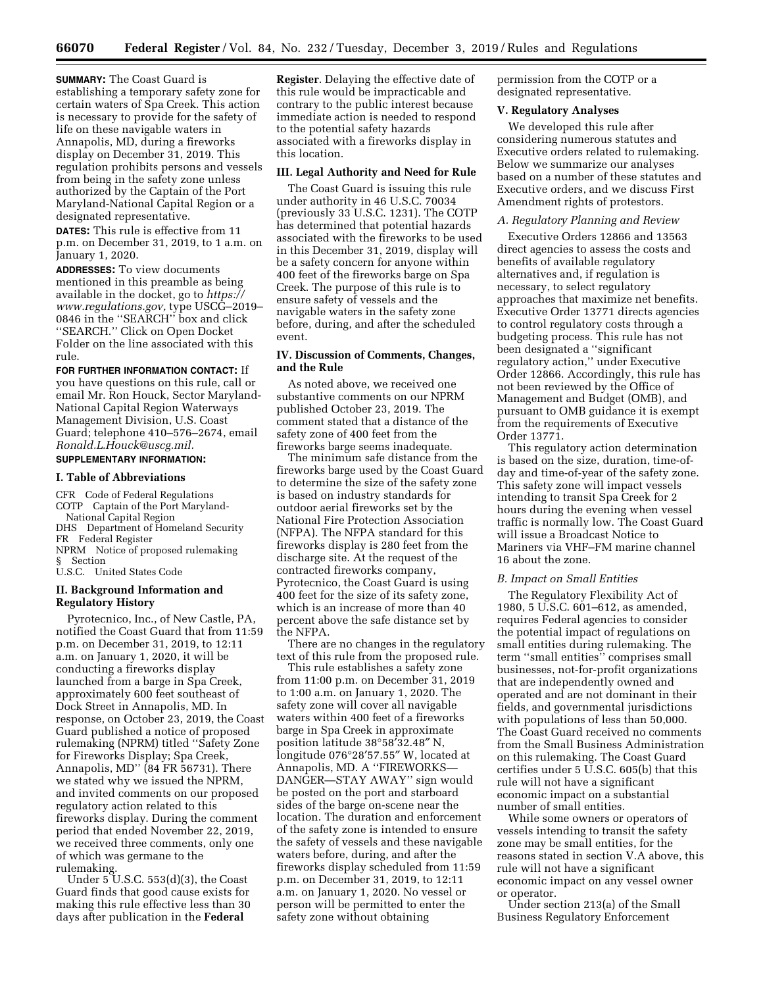**SUMMARY:** The Coast Guard is establishing a temporary safety zone for certain waters of Spa Creek. This action is necessary to provide for the safety of life on these navigable waters in Annapolis, MD, during a fireworks display on December 31, 2019. This regulation prohibits persons and vessels from being in the safety zone unless authorized by the Captain of the Port Maryland-National Capital Region or a designated representative.

**DATES:** This rule is effective from 11 p.m. on December 31, 2019, to 1 a.m. on January 1, 2020.

**ADDRESSES:** To view documents mentioned in this preamble as being available in the docket, go to *[https://](https://www.regulations.gov) [www.regulations.gov,](https://www.regulations.gov)* type USCG–2019– 0846 in the ''SEARCH'' box and click ''SEARCH.'' Click on Open Docket Folder on the line associated with this rule.

**FOR FURTHER INFORMATION CONTACT:** If you have questions on this rule, call or email Mr. Ron Houck, Sector Maryland-National Capital Region Waterways Management Division, U.S. Coast Guard; telephone 410–576–2674, email *[Ronald.L.Houck@uscg.mil.](mailto:Ronald.L.Houck@uscg.mil)*  **SUPPLEMENTARY INFORMATION:** 

#### **I. Table of Abbreviations**

- CFR Code of Federal Regulations COTP Captain of the Port Maryland-National Capital Region
- DHS Department of Homeland Security FR Federal Register
- NPRM Notice of proposed rulemaking § Section

U.S.C. United States Code

# **II. Background Information and Regulatory History**

Pyrotecnico, Inc., of New Castle, PA, notified the Coast Guard that from 11:59 p.m. on December 31, 2019, to 12:11 a.m. on January 1, 2020, it will be conducting a fireworks display launched from a barge in Spa Creek, approximately 600 feet southeast of Dock Street in Annapolis, MD. In response, on October 23, 2019, the Coast Guard published a notice of proposed rulemaking (NPRM) titled ''Safety Zone for Fireworks Display; Spa Creek, Annapolis, MD'' (84 FR 56731). There we stated why we issued the NPRM, and invited comments on our proposed regulatory action related to this fireworks display. During the comment period that ended November 22, 2019, we received three comments, only one of which was germane to the rulemaking.

Under  $5$  U.S.C.  $553(d)(3)$ , the Coast Guard finds that good cause exists for making this rule effective less than 30 days after publication in the **Federal** 

**Register**. Delaying the effective date of this rule would be impracticable and contrary to the public interest because immediate action is needed to respond to the potential safety hazards associated with a fireworks display in this location.

## **III. Legal Authority and Need for Rule**

The Coast Guard is issuing this rule under authority in 46 U.S.C. 70034 (previously 33 U.S.C. 1231). The COTP has determined that potential hazards associated with the fireworks to be used in this December 31, 2019, display will be a safety concern for anyone within 400 feet of the fireworks barge on Spa Creek. The purpose of this rule is to ensure safety of vessels and the navigable waters in the safety zone before, during, and after the scheduled event.

## **IV. Discussion of Comments, Changes, and the Rule**

As noted above, we received one substantive comments on our NPRM published October 23, 2019. The comment stated that a distance of the safety zone of 400 feet from the fireworks barge seems inadequate.

The minimum safe distance from the fireworks barge used by the Coast Guard to determine the size of the safety zone is based on industry standards for outdoor aerial fireworks set by the National Fire Protection Association (NFPA). The NFPA standard for this fireworks display is 280 feet from the discharge site. At the request of the contracted fireworks company, Pyrotecnico, the Coast Guard is using 400 feet for the size of its safety zone, which is an increase of more than 40 percent above the safe distance set by the NFPA.

There are no changes in the regulatory text of this rule from the proposed rule.

This rule establishes a safety zone from 11:00 p.m. on December 31, 2019 to 1:00 a.m. on January 1, 2020. The safety zone will cover all navigable waters within 400 feet of a fireworks barge in Spa Creek in approximate position latitude 38°58′32.48″ N, longitude 076°28′57.55″ W, located at Annapolis, MD. A ''FIREWORKS— DANGER—STAY AWAY'' sign would be posted on the port and starboard sides of the barge on-scene near the location. The duration and enforcement of the safety zone is intended to ensure the safety of vessels and these navigable waters before, during, and after the fireworks display scheduled from 11:59 p.m. on December 31, 2019, to 12:11 a.m. on January 1, 2020. No vessel or person will be permitted to enter the safety zone without obtaining

permission from the COTP or a designated representative.

### **V. Regulatory Analyses**

We developed this rule after considering numerous statutes and Executive orders related to rulemaking. Below we summarize our analyses based on a number of these statutes and Executive orders, and we discuss First Amendment rights of protestors.

## *A. Regulatory Planning and Review*

Executive Orders 12866 and 13563 direct agencies to assess the costs and benefits of available regulatory alternatives and, if regulation is necessary, to select regulatory approaches that maximize net benefits. Executive Order 13771 directs agencies to control regulatory costs through a budgeting process. This rule has not been designated a ''significant regulatory action,'' under Executive Order 12866. Accordingly, this rule has not been reviewed by the Office of Management and Budget (OMB), and pursuant to OMB guidance it is exempt from the requirements of Executive Order 13771.

This regulatory action determination is based on the size, duration, time-ofday and time-of-year of the safety zone. This safety zone will impact vessels intending to transit Spa Creek for 2 hours during the evening when vessel traffic is normally low. The Coast Guard will issue a Broadcast Notice to Mariners via VHF–FM marine channel 16 about the zone.

## *B. Impact on Small Entities*

The Regulatory Flexibility Act of 1980, 5 U.S.C. 601–612, as amended, requires Federal agencies to consider the potential impact of regulations on small entities during rulemaking. The term ''small entities'' comprises small businesses, not-for-profit organizations that are independently owned and operated and are not dominant in their fields, and governmental jurisdictions with populations of less than 50,000. The Coast Guard received no comments from the Small Business Administration on this rulemaking. The Coast Guard certifies under 5 U.S.C. 605(b) that this rule will not have a significant economic impact on a substantial number of small entities.

While some owners or operators of vessels intending to transit the safety zone may be small entities, for the reasons stated in section V.A above, this rule will not have a significant economic impact on any vessel owner or operator.

Under section 213(a) of the Small Business Regulatory Enforcement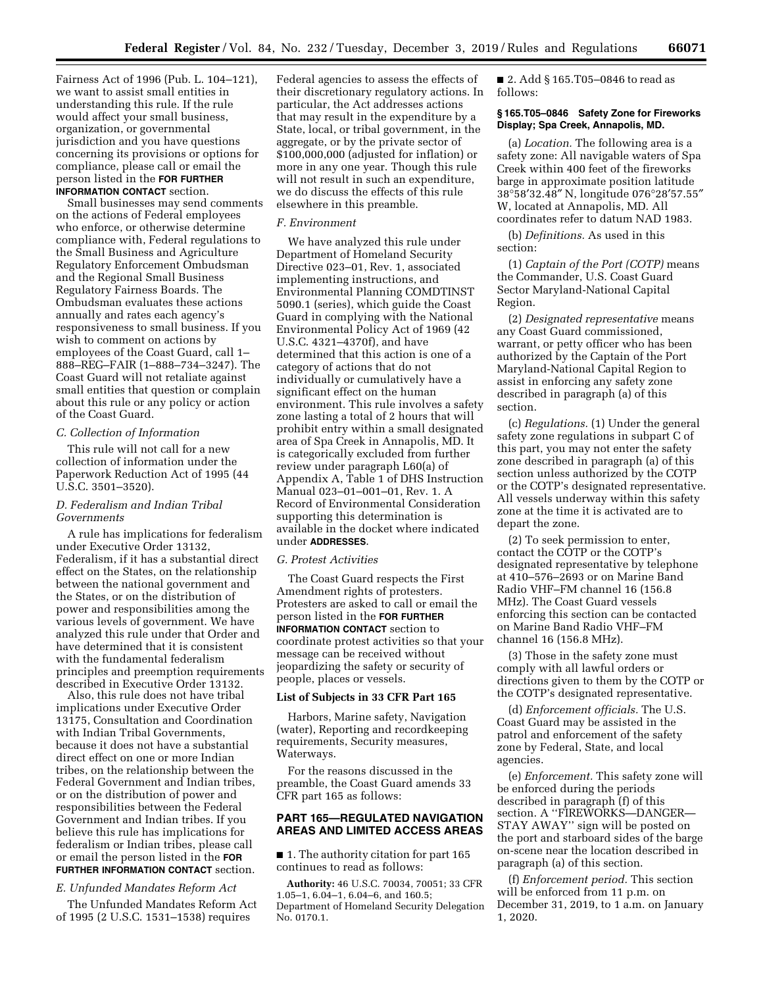Fairness Act of 1996 (Pub. L. 104–121), we want to assist small entities in understanding this rule. If the rule would affect your small business, organization, or governmental jurisdiction and you have questions concerning its provisions or options for compliance, please call or email the person listed in the **FOR FURTHER INFORMATION CONTACT** section.

Small businesses may send comments on the actions of Federal employees who enforce, or otherwise determine compliance with, Federal regulations to the Small Business and Agriculture Regulatory Enforcement Ombudsman and the Regional Small Business Regulatory Fairness Boards. The Ombudsman evaluates these actions annually and rates each agency's responsiveness to small business. If you wish to comment on actions by employees of the Coast Guard, call 1– 888–REG–FAIR (1–888–734–3247). The Coast Guard will not retaliate against small entities that question or complain about this rule or any policy or action of the Coast Guard.

## *C. Collection of Information*

This rule will not call for a new collection of information under the Paperwork Reduction Act of 1995 (44 U.S.C. 3501–3520).

# *D. Federalism and Indian Tribal Governments*

A rule has implications for federalism under Executive Order 13132, Federalism, if it has a substantial direct effect on the States, on the relationship between the national government and the States, or on the distribution of power and responsibilities among the various levels of government. We have analyzed this rule under that Order and have determined that it is consistent with the fundamental federalism principles and preemption requirements described in Executive Order 13132.

Also, this rule does not have tribal implications under Executive Order 13175, Consultation and Coordination with Indian Tribal Governments, because it does not have a substantial direct effect on one or more Indian tribes, on the relationship between the Federal Government and Indian tribes, or on the distribution of power and responsibilities between the Federal Government and Indian tribes. If you believe this rule has implications for federalism or Indian tribes, please call or email the person listed in the **FOR FURTHER INFORMATION CONTACT** section.

### *E. Unfunded Mandates Reform Act*

The Unfunded Mandates Reform Act of 1995 (2 U.S.C. 1531–1538) requires

Federal agencies to assess the effects of their discretionary regulatory actions. In particular, the Act addresses actions that may result in the expenditure by a State, local, or tribal government, in the aggregate, or by the private sector of \$100,000,000 (adjusted for inflation) or more in any one year. Though this rule will not result in such an expenditure, we do discuss the effects of this rule elsewhere in this preamble.

## *F. Environment*

We have analyzed this rule under Department of Homeland Security Directive 023–01, Rev. 1, associated implementing instructions, and Environmental Planning COMDTINST 5090.1 (series), which guide the Coast Guard in complying with the National Environmental Policy Act of 1969 (42 U.S.C. 4321–4370f), and have determined that this action is one of a category of actions that do not individually or cumulatively have a significant effect on the human environment. This rule involves a safety zone lasting a total of 2 hours that will prohibit entry within a small designated area of Spa Creek in Annapolis, MD. It is categorically excluded from further review under paragraph L60(a) of Appendix A, Table 1 of DHS Instruction Manual 023–01–001–01, Rev. 1. A Record of Environmental Consideration supporting this determination is available in the docket where indicated under **ADDRESSES**.

## *G. Protest Activities*

The Coast Guard respects the First Amendment rights of protesters. Protesters are asked to call or email the person listed in the **FOR FURTHER INFORMATION CONTACT** section to coordinate protest activities so that your message can be received without jeopardizing the safety or security of people, places or vessels.

# **List of Subjects in 33 CFR Part 165**

Harbors, Marine safety, Navigation (water), Reporting and recordkeeping requirements, Security measures, Waterways.

For the reasons discussed in the preamble, the Coast Guard amends 33 CFR part 165 as follows:

# **PART 165—REGULATED NAVIGATION AREAS AND LIMITED ACCESS AREAS**

■ 1. The authority citation for part 165 continues to read as follows:

**Authority:** 46 U.S.C. 70034, 70051; 33 CFR 1.05–1, 6.04–1, 6.04–6, and 160.5; Department of Homeland Security Delegation No. 0170.1.

■ 2. Add § 165.T05-0846 to read as follows:

### **§ 165.T05–0846 Safety Zone for Fireworks Display; Spa Creek, Annapolis, MD.**

(a) *Location.* The following area is a safety zone: All navigable waters of Spa Creek within 400 feet of the fireworks barge in approximate position latitude 38°58′32.48″ N, longitude 076°28′57.55″ W, located at Annapolis, MD. All coordinates refer to datum NAD 1983.

(b) *Definitions.* As used in this section:

(1) *Captain of the Port (COTP)* means the Commander, U.S. Coast Guard Sector Maryland-National Capital Region.

(2) *Designated representative* means any Coast Guard commissioned, warrant, or petty officer who has been authorized by the Captain of the Port Maryland-National Capital Region to assist in enforcing any safety zone described in paragraph (a) of this section.

(c) *Regulations.* (1) Under the general safety zone regulations in subpart C of this part, you may not enter the safety zone described in paragraph (a) of this section unless authorized by the COTP or the COTP's designated representative. All vessels underway within this safety zone at the time it is activated are to depart the zone.

(2) To seek permission to enter, contact the COTP or the COTP's designated representative by telephone at 410–576–2693 or on Marine Band Radio VHF–FM channel 16 (156.8 MHz). The Coast Guard vessels enforcing this section can be contacted on Marine Band Radio VHF–FM channel 16 (156.8 MHz).

(3) Those in the safety zone must comply with all lawful orders or directions given to them by the COTP or the COTP's designated representative.

(d) *Enforcement officials.* The U.S. Coast Guard may be assisted in the patrol and enforcement of the safety zone by Federal, State, and local agencies.

(e) *Enforcement.* This safety zone will be enforced during the periods described in paragraph (f) of this section. A ''FIREWORKS—DANGER— STAY AWAY'' sign will be posted on the port and starboard sides of the barge on-scene near the location described in paragraph (a) of this section.

(f) *Enforcement period.* This section will be enforced from 11 p.m. on December 31, 2019, to 1 a.m. on January 1, 2020.